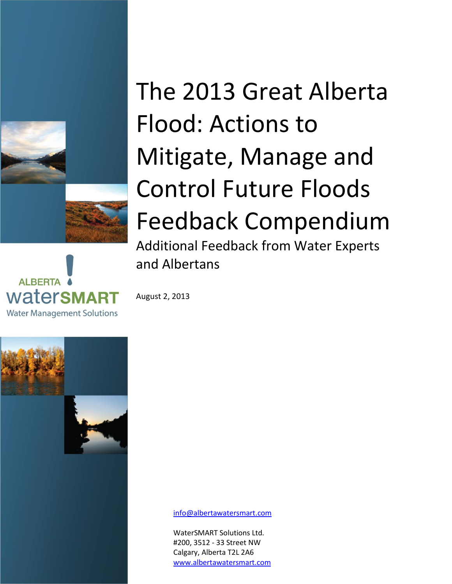



# The 2013 Great Alberta Flood: Actions to Mitigate, Manage and Control Future Floods Feedback Compendium Additional Feedback from Water Experts and Albertans

August 2, 2013



[info@albertawatersmart.com](mailto:info@albertawatersmart.com)

WaterSMART Solutions Ltd. #200, 3512 - 33 Street NW Calgary, Alberta T2L 2A6 [www.albertawatersmart.com](file:///C:/Users/Kim.Sturgess/AppData/Local/Microsoft/Windows/Temporary%20Internet%20Files/Content.Outlook/ZANTGXRA/www.albertawatersmart.com)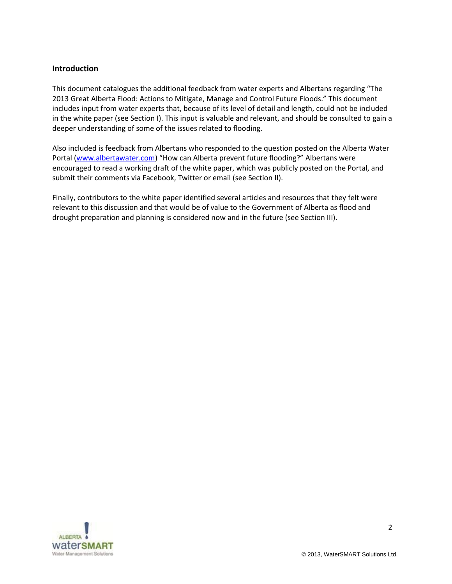## **Introduction**

This document catalogues the additional feedback from water experts and Albertans regarding "The 2013 Great Alberta Flood: Actions to Mitigate, Manage and Control Future Floods." This document includes input from water experts that, because of its level of detail and length, could not be included in the white paper (see Section I). This input is valuable and relevant, and should be consulted to gain a deeper understanding of some of the issues related to flooding.

Also included is feedback from Albertans who responded to the question posted on the Alberta Water Portal [\(www.albertawater.com\)](file:///C:/Users/Victoria.Pleavin/AppData/Local/Microsoft/Windows/Temporary%20Internet%20Files/Content.Outlook/J7RQ9DH9/www.albertawater.com) "How can Alberta prevent future flooding?" Albertans were encouraged to read a working draft of the white paper, which was publicly posted on the Portal, and submit their comments via Facebook, Twitter or email (see Section II).

Finally, contributors to the white paper identified several articles and resources that they felt were relevant to this discussion and that would be of value to the Government of Alberta as flood and drought preparation and planning is considered now and in the future (see Section III).

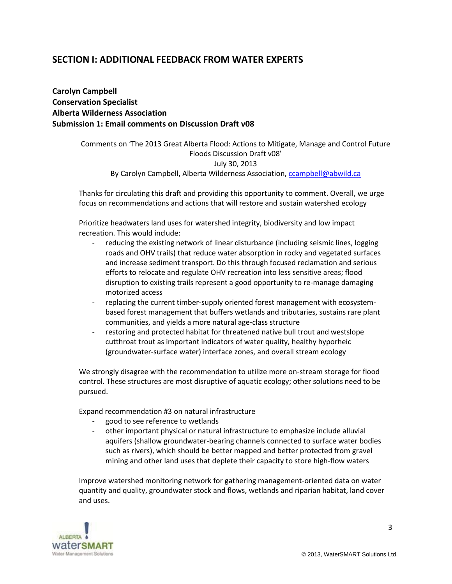# **SECTION I: ADDITIONAL FEEDBACK FROM WATER EXPERTS**

**Carolyn Campbell Conservation Specialist Alberta Wilderness Association Submission 1: Email comments on Discussion Draft v08**

> Comments on 'The 2013 Great Alberta Flood: Actions to Mitigate, Manage and Control Future Floods Discussion Draft v08' July 30, 2013 By Carolyn Campbell, Alberta Wilderness Association, [ccampbell@abwild.ca](mailto:ccampbell@abwild.ca)

Thanks for circulating this draft and providing this opportunity to comment. Overall, we urge focus on recommendations and actions that will restore and sustain watershed ecology

Prioritize headwaters land uses for watershed integrity, biodiversity and low impact recreation. This would include:

- reducing the existing network of linear disturbance (including seismic lines, logging roads and OHV trails) that reduce water absorption in rocky and vegetated surfaces and increase sediment transport. Do this through focused reclamation and serious efforts to relocate and regulate OHV recreation into less sensitive areas; flood disruption to existing trails represent a good opportunity to re-manage damaging motorized access
- replacing the current timber-supply oriented forest management with ecosystembased forest management that buffers wetlands and tributaries, sustains rare plant communities, and yields a more natural age-class structure
- restoring and protected habitat for threatened native bull trout and westslope cutthroat trout as important indicators of water quality, healthy hyporheic (groundwater-surface water) interface zones, and overall stream ecology

We strongly disagree with the recommendation to utilize more on-stream storage for flood control. These structures are most disruptive of aquatic ecology; other solutions need to be pursued.

Expand recommendation #3 on natural infrastructure

- good to see reference to wetlands
- other important physical or natural infrastructure to emphasize include alluvial aquifers (shallow groundwater-bearing channels connected to surface water bodies such as rivers), which should be better mapped and better protected from gravel mining and other land uses that deplete their capacity to store high-flow waters

Improve watershed monitoring network for gathering management-oriented data on water quantity and quality, groundwater stock and flows, wetlands and riparian habitat, land cover and uses.

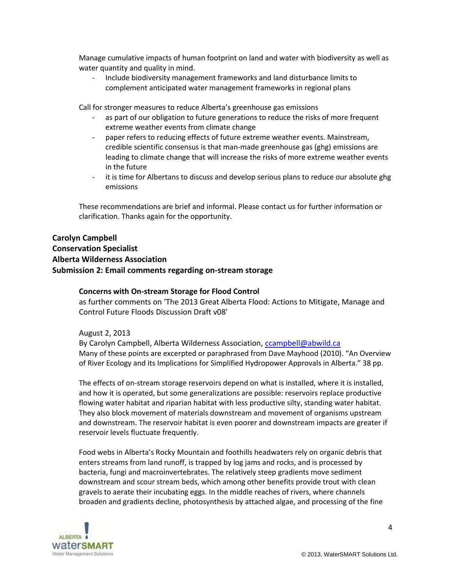Manage cumulative impacts of human footprint on land and water with biodiversity as well as water quantity and quality in mind.

- Include biodiversity management frameworks and land disturbance limits to complement anticipated water management frameworks in regional plans

Call for stronger measures to reduce Alberta's greenhouse gas emissions

- as part of our obligation to future generations to reduce the risks of more frequent extreme weather events from climate change
- paper refers to reducing effects of future extreme weather events. Mainstream, credible scientific consensus is that man-made greenhouse gas (ghg) emissions are leading to climate change that will increase the risks of more extreme weather events in the future
- it is time for Albertans to discuss and develop serious plans to reduce our absolute ghg emissions

These recommendations are brief and informal. Please contact us for further information or clarification. Thanks again for the opportunity.

## **Carolyn Campbell**

# **Conservation Specialist Alberta Wilderness Association Submission 2: Email comments regarding on-stream storage**

## **Concerns with On-stream Storage for Flood Control**

as further comments on 'The 2013 Great Alberta Flood: Actions to Mitigate, Manage and Control Future Floods Discussion Draft v08'

#### August 2, 2013

By Carolyn Campbell, Alberta Wilderness Association, [ccampbell@abwild.ca](mailto:ccampbell@abwild.ca) Many of these points are excerpted or paraphrased from Dave Mayhood (2010). "An Overview of River Ecology and its Implications for Simplified Hydropower Approvals in Alberta." 38 pp.

The effects of on-stream storage reservoirs depend on what is installed, where it is installed, and how it is operated, but some generalizations are possible: reservoirs replace productive flowing water habitat and riparian habitat with less productive silty, standing water habitat. They also block movement of materials downstream and movement of organisms upstream and downstream. The reservoir habitat is even poorer and downstream impacts are greater if reservoir levels fluctuate frequently.

Food webs in Alberta's Rocky Mountain and foothills headwaters rely on organic debris that enters streams from land runoff, is trapped by log jams and rocks, and is processed by bacteria, fungi and macroinvertebrates. The relatively steep gradients move sediment downstream and scour stream beds, which among other benefits provide trout with clean gravels to aerate their incubating eggs. In the middle reaches of rivers, where channels broaden and gradients decline, photosynthesis by attached algae, and processing of the fine

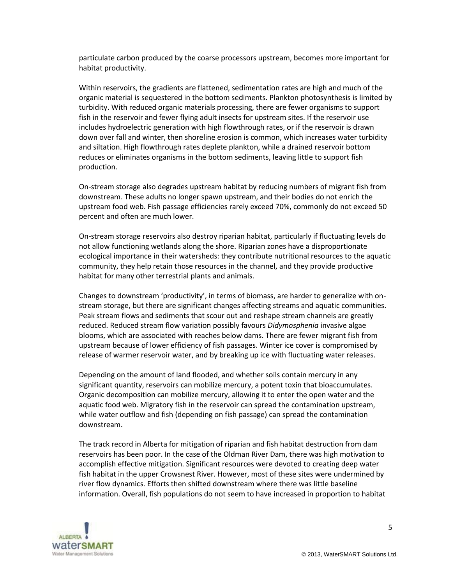particulate carbon produced by the coarse processors upstream, becomes more important for habitat productivity.

Within reservoirs, the gradients are flattened, sedimentation rates are high and much of the organic material is sequestered in the bottom sediments. Plankton photosynthesis is limited by turbidity. With reduced organic materials processing, there are fewer organisms to support fish in the reservoir and fewer flying adult insects for upstream sites. If the reservoir use includes hydroelectric generation with high flowthrough rates, or if the reservoir is drawn down over fall and winter, then shoreline erosion is common, which increases water turbidity and siltation. High flowthrough rates deplete plankton, while a drained reservoir bottom reduces or eliminates organisms in the bottom sediments, leaving little to support fish production.

On-stream storage also degrades upstream habitat by reducing numbers of migrant fish from downstream. These adults no longer spawn upstream, and their bodies do not enrich the upstream food web. Fish passage efficiencies rarely exceed 70%, commonly do not exceed 50 percent and often are much lower.

On-stream storage reservoirs also destroy riparian habitat, particularly if fluctuating levels do not allow functioning wetlands along the shore. Riparian zones have a disproportionate ecological importance in their watersheds: they contribute nutritional resources to the aquatic community, they help retain those resources in the channel, and they provide productive habitat for many other terrestrial plants and animals.

Changes to downstream 'productivity', in terms of biomass, are harder to generalize with onstream storage, but there are significant changes affecting streams and aquatic communities. Peak stream flows and sediments that scour out and reshape stream channels are greatly reduced. Reduced stream flow variation possibly favours *Didymosphenia* invasive algae blooms, which are associated with reaches below dams. There are fewer migrant fish from upstream because of lower efficiency of fish passages. Winter ice cover is compromised by release of warmer reservoir water, and by breaking up ice with fluctuating water releases.

Depending on the amount of land flooded, and whether soils contain mercury in any significant quantity, reservoirs can mobilize mercury, a potent toxin that bioaccumulates. Organic decomposition can mobilize mercury, allowing it to enter the open water and the aquatic food web. Migratory fish in the reservoir can spread the contamination upstream, while water outflow and fish (depending on fish passage) can spread the contamination downstream.

The track record in Alberta for mitigation of riparian and fish habitat destruction from dam reservoirs has been poor. In the case of the Oldman River Dam, there was high motivation to accomplish effective mitigation. Significant resources were devoted to creating deep water fish habitat in the upper Crowsnest River. However, most of these sites were undermined by river flow dynamics. Efforts then shifted downstream where there was little baseline information. Overall, fish populations do not seem to have increased in proportion to habitat



© 2013, WaterSMART Solutions Ltd.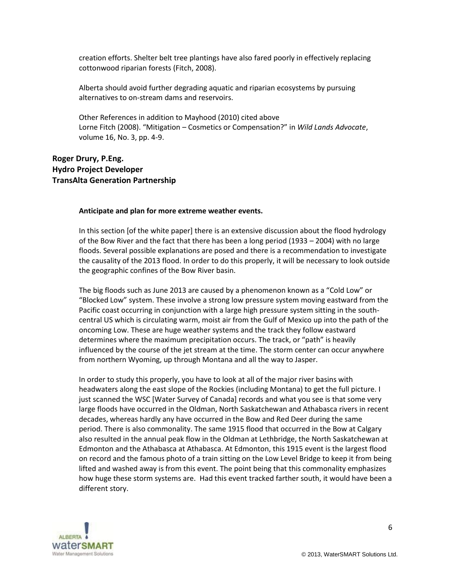creation efforts. Shelter belt tree plantings have also fared poorly in effectively replacing cottonwood riparian forests (Fitch, 2008).

Alberta should avoid further degrading aquatic and riparian ecosystems by pursuing alternatives to on-stream dams and reservoirs.

Other References in addition to Mayhood (2010) cited above Lorne Fitch (2008). "Mitigation – Cosmetics or Compensation?" in *Wild Lands Advocate*, volume 16, No. 3, pp. 4-9.

## **Roger Drury, P.Eng. Hydro Project Developer TransAlta Generation Partnership**

#### **Anticipate and plan for more extreme weather events.**

In this section [of the white paper] there is an extensive discussion about the flood hydrology of the Bow River and the fact that there has been a long period (1933 – 2004) with no large floods. Several possible explanations are posed and there is a recommendation to investigate the causality of the 2013 flood. In order to do this properly, it will be necessary to look outside the geographic confines of the Bow River basin.

The big floods such as June 2013 are caused by a phenomenon known as a "Cold Low" or "Blocked Low" system. These involve a strong low pressure system moving eastward from the Pacific coast occurring in conjunction with a large high pressure system sitting in the southcentral US which is circulating warm, moist air from the Gulf of Mexico up into the path of the oncoming Low. These are huge weather systems and the track they follow eastward determines where the maximum precipitation occurs. The track, or "path" is heavily influenced by the course of the jet stream at the time. The storm center can occur anywhere from northern Wyoming, up through Montana and all the way to Jasper.

In order to study this properly, you have to look at all of the major river basins with headwaters along the east slope of the Rockies (including Montana) to get the full picture. I just scanned the WSC [Water Survey of Canada] records and what you see is that some very large floods have occurred in the Oldman, North Saskatchewan and Athabasca rivers in recent decades, whereas hardly any have occurred in the Bow and Red Deer during the same period. There is also commonality. The same 1915 flood that occurred in the Bow at Calgary also resulted in the annual peak flow in the Oldman at Lethbridge, the North Saskatchewan at Edmonton and the Athabasca at Athabasca. At Edmonton, this 1915 event is the largest flood on record and the famous photo of a train sitting on the Low Level Bridge to keep it from being lifted and washed away is from this event. The point being that this commonality emphasizes how huge these storm systems are. Had this event tracked farther south, it would have been a different story.

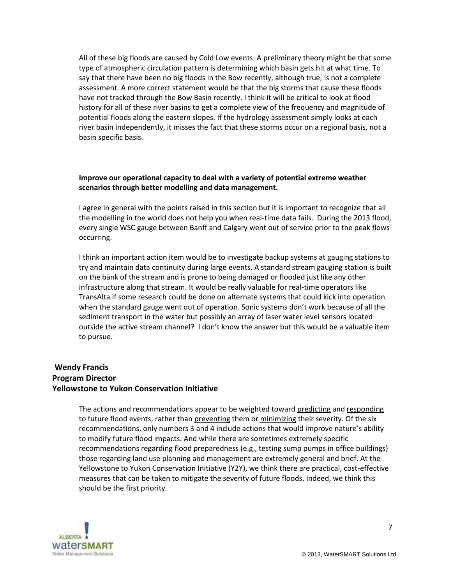All of these big floods are caused by Cold Low events. A preliminary theory might be that some type of atmospheric circulation pattern is determining which basin gets hit at what time. To say that there have been no big floods in the Bow recently, although true, is not a complete assessment. A more correct statement would be that the big storms that cause these floods have not tracked through the Bow Basin recently. I think it will be critical to look at flood history for all of these river basins to get a complete view of the frequency and magnitude of potential floods along the eastern slopes. If the hydrology assessment simply looks at each river basin independently, it misses the fact that these storms occur on a regional basis, not a basin specific basis.

#### **Improve our operational capacity to deal with a variety of potential extreme weather scenarios through better modelling and data management.**

I agree in general with the points raised in this section but it is important to recognize that all the modelling in the world does not help you when real-time data fails. During the 2013 flood, every single WSC gauge between Banff and Calgary went out of service prior to the peak flows occurring.

I think an important action item would be to investigate backup systems at gauging stations to try and maintain data continuity during large events. A standard stream gauging station is built on the bank of the stream and is prone to being damaged or flooded just like any other infrastructure along that stream. It would be really valuable for real-time operators like TransAlta if some research could be done on alternate systems that could kick into operation when the standard gauge went out of operation. Sonic systems don't work because of all the sediment transport in the water but possibly an array of laser water level sensors located outside the active stream channel? I don't know the answer but this would be a valuable item to pursue.

## **Wendy Francis Program Director Yellowstone to Yukon Conservation Initiative**

The actions and recommendations appear to be weighted toward predicting and responding to future flood events, rather than preventing them or minimizing their severity. Of the six recommendations, only numbers 3 and 4 include actions that would improve nature's ability to modify future flood impacts. And while there are sometimes extremely specific recommendations regarding flood preparedness (e.g., testing sump pumps in office buildings) those regarding land use planning and management are extremely general and brief. At the Yellowstone to Yukon Conservation Initiative (Y2Y), we think there are practical, cost-effective measures that can be taken to mitigate the severity of future floods. Indeed, we think this should be the first priority.

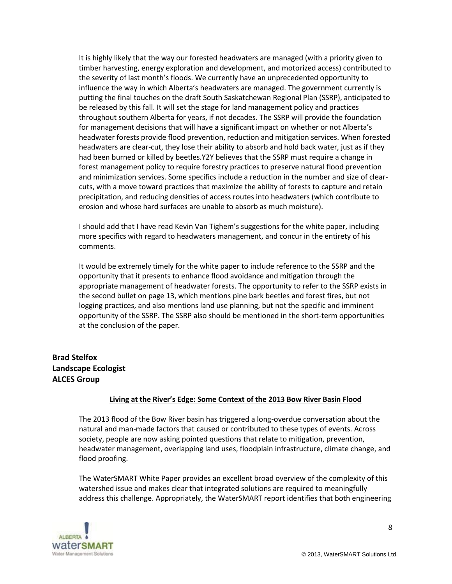It is highly likely that the way our forested headwaters are managed (with a priority given to timber harvesting, energy exploration and development, and motorized access) contributed to the severity of last month's floods. We currently have an unprecedented opportunity to influence the way in which Alberta's headwaters are managed. The government currently is putting the final touches on the draft South Saskatchewan Regional Plan (SSRP), anticipated to be released by this fall. It will set the stage for land management policy and practices throughout southern Alberta for years, if not decades. The SSRP will provide the foundation for management decisions that will have a significant impact on whether or not Alberta's headwater forests provide flood prevention, reduction and mitigation services. When forested headwaters are clear-cut, they lose their ability to absorb and hold back water, just as if they had been burned or killed by beetles.Y2Y believes that the SSRP must require a change in forest management policy to require forestry practices to preserve natural flood prevention and minimization services. Some specifics include a reduction in the number and size of clearcuts, with a move toward practices that maximize the ability of forests to capture and retain precipitation, and reducing densities of access routes into headwaters (which contribute to erosion and whose hard surfaces are unable to absorb as much moisture).

I should add that I have read Kevin Van Tighem's suggestions for the white paper, including more specifics with regard to headwaters management, and concur in the entirety of his comments.

It would be extremely timely for the white paper to include reference to the SSRP and the opportunity that it presents to enhance flood avoidance and mitigation through the appropriate management of headwater forests. The opportunity to refer to the SSRP exists in the second bullet on page 13, which mentions pine bark beetles and forest fires, but not logging practices, and also mentions land use planning, but not the specific and imminent opportunity of the SSRP. The SSRP also should be mentioned in the short-term opportunities at the conclusion of the paper.

# **Brad Stelfox Landscape Ecologist ALCES Group**

#### **Living at the River's Edge: Some Context of the 2013 Bow River Basin Flood**

The 2013 flood of the Bow River basin has triggered a long-overdue conversation about the natural and man-made factors that caused or contributed to these types of events. Across society, people are now asking pointed questions that relate to mitigation, prevention, headwater management, overlapping land uses, floodplain infrastructure, climate change, and flood proofing.

The WaterSMART White Paper provides an excellent broad overview of the complexity of this watershed issue and makes clear that integrated solutions are required to meaningfully address this challenge. Appropriately, the WaterSMART report identifies that both engineering

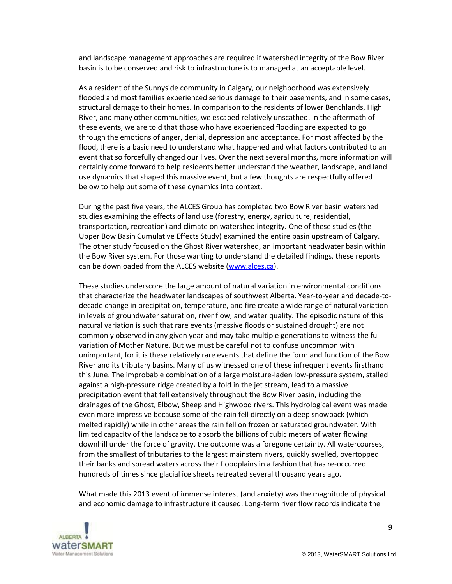and landscape management approaches are required if watershed integrity of the Bow River basin is to be conserved and risk to infrastructure is to managed at an acceptable level.

As a resident of the Sunnyside community in Calgary, our neighborhood was extensively flooded and most families experienced serious damage to their basements, and in some cases, structural damage to their homes. In comparison to the residents of lower Benchlands, High River, and many other communities, we escaped relatively unscathed. In the aftermath of these events, we are told that those who have experienced flooding are expected to go through the emotions of anger, denial, depression and acceptance. For most affected by the flood, there is a basic need to understand what happened and what factors contributed to an event that so forcefully changed our lives. Over the next several months, more information will certainly come forward to help residents better understand the weather, landscape, and land use dynamics that shaped this massive event, but a few thoughts are respectfully offered below to help put some of these dynamics into context.

During the past five years, the ALCES Group has completed two Bow River basin watershed studies examining the effects of land use (forestry, energy, agriculture, residential, transportation, recreation) and climate on watershed integrity. One of these studies (the Upper Bow Basin Cumulative Effects Study) examined the entire basin upstream of Calgary. The other study focused on the Ghost River watershed, an important headwater basin within the Bow River system. For those wanting to understand the detailed findings, these reports can be downloaded from the ALCES website [\(www.alces.ca\)](http://www.alces.ca/).

These studies underscore the large amount of natural variation in environmental conditions that characterize the headwater landscapes of southwest Alberta. Year-to-year and decade-todecade change in precipitation, temperature, and fire create a wide range of natural variation in levels of groundwater saturation, river flow, and water quality. The episodic nature of this natural variation is such that rare events (massive floods or sustained drought) are not commonly observed in any given year and may take multiple generations to witness the full variation of Mother Nature. But we must be careful not to confuse uncommon with unimportant, for it is these relatively rare events that define the form and function of the Bow River and its tributary basins. Many of us witnessed one of these infrequent events firsthand this June. The improbable combination of a large moisture-laden low-pressure system, stalled against a high-pressure ridge created by a fold in the jet stream, lead to a massive precipitation event that fell extensively throughout the Bow River basin, including the drainages of the Ghost, Elbow, Sheep and Highwood rivers. This hydrological event was made even more impressive because some of the rain fell directly on a deep snowpack (which melted rapidly) while in other areas the rain fell on frozen or saturated groundwater. With limited capacity of the landscape to absorb the billions of cubic meters of water flowing downhill under the force of gravity, the outcome was a foregone certainty. All watercourses, from the smallest of tributaries to the largest mainstem rivers, quickly swelled, overtopped their banks and spread waters across their floodplains in a fashion that has re-occurred hundreds of times since glacial ice sheets retreated several thousand years ago.

What made this 2013 event of immense interest (and anxiety) was the magnitude of physical and economic damage to infrastructure it caused. Long-term river flow records indicate the

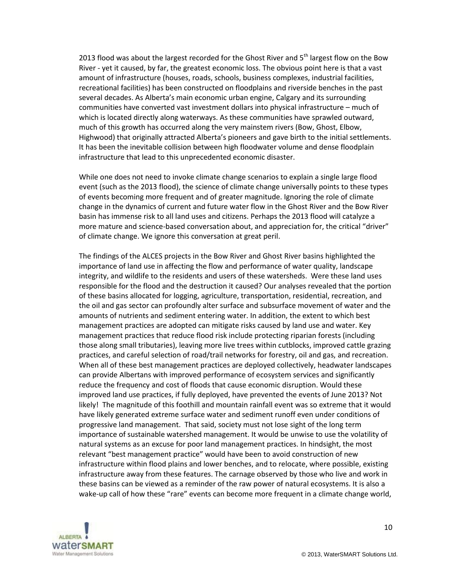2013 flood was about the largest recorded for the Ghost River and  $5<sup>th</sup>$  largest flow on the Bow River - yet it caused, by far, the greatest economic loss. The obvious point here is that a vast amount of infrastructure (houses, roads, schools, business complexes, industrial facilities, recreational facilities) has been constructed on floodplains and riverside benches in the past several decades. As Alberta's main economic urban engine, Calgary and its surrounding communities have converted vast investment dollars into physical infrastructure – much of which is located directly along waterways. As these communities have sprawled outward, much of this growth has occurred along the very mainstem rivers (Bow, Ghost, Elbow, Highwood) that originally attracted Alberta's pioneers and gave birth to the initial settlements. It has been the inevitable collision between high floodwater volume and dense floodplain infrastructure that lead to this unprecedented economic disaster.

While one does not need to invoke climate change scenarios to explain a single large flood event (such as the 2013 flood), the science of climate change universally points to these types of events becoming more frequent and of greater magnitude. Ignoring the role of climate change in the dynamics of current and future water flow in the Ghost River and the Bow River basin has immense risk to all land uses and citizens. Perhaps the 2013 flood will catalyze a more mature and science-based conversation about, and appreciation for, the critical "driver" of climate change. We ignore this conversation at great peril.

The findings of the ALCES projects in the Bow River and Ghost River basins highlighted the importance of land use in affecting the flow and performance of water quality, landscape integrity, and wildlife to the residents and users of these watersheds. Were these land uses responsible for the flood and the destruction it caused? Our analyses revealed that the portion of these basins allocated for logging, agriculture, transportation, residential, recreation, and the oil and gas sector can profoundly alter surface and subsurface movement of water and the amounts of nutrients and sediment entering water. In addition, the extent to which best management practices are adopted can mitigate risks caused by land use and water. Key management practices that reduce flood risk include protecting riparian forests (including those along small tributaries), leaving more live trees within cutblocks, improved cattle grazing practices, and careful selection of road/trail networks for forestry, oil and gas, and recreation. When all of these best management practices are deployed collectively, headwater landscapes can provide Albertans with improved performance of ecosystem services and significantly reduce the frequency and cost of floods that cause economic disruption. Would these improved land use practices, if fully deployed, have prevented the events of June 2013? Not likely! The magnitude of this foothill and mountain rainfall event was so extreme that it would have likely generated extreme surface water and sediment runoff even under conditions of progressive land management. That said, society must not lose sight of the long term importance of sustainable watershed management. It would be unwise to use the volatility of natural systems as an excuse for poor land management practices. In hindsight, the most relevant "best management practice" would have been to avoid construction of new infrastructure within flood plains and lower benches, and to relocate, where possible, existing infrastructure away from these features. The carnage observed by those who live and work in these basins can be viewed as a reminder of the raw power of natural ecosystems. It is also a wake-up call of how these "rare" events can become more frequent in a climate change world,



10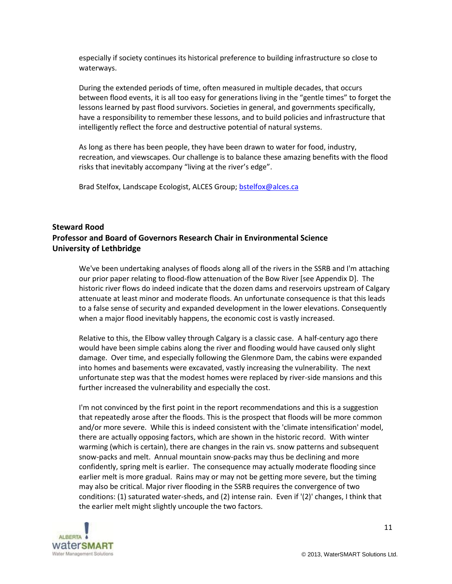especially if society continues its historical preference to building infrastructure so close to waterways.

During the extended periods of time, often measured in multiple decades, that occurs between flood events, it is all too easy for generations living in the "gentle times" to forget the lessons learned by past flood survivors. Societies in general, and governments specifically, have a responsibility to remember these lessons, and to build policies and infrastructure that intelligently reflect the force and destructive potential of natural systems.

As long as there has been people, they have been drawn to water for food, industry, recreation, and viewscapes. Our challenge is to balance these amazing benefits with the flood risks that inevitably accompany "living at the river's edge".

Brad Stelfox, Landscape Ecologist, ALCES Group; [bstelfox@alces.ca](file:///C:/Users/Victoria.Pleavin/AppData/Local/Microsoft/Windows/Temporary%20Internet%20Files/Content.Outlook/J7RQ9DH9/bstelfox@alces.ca)

# **Steward Rood Professor and Board of Governors Research Chair in Environmental Science University of Lethbridge**

We've been undertaking analyses of floods along all of the rivers in the SSRB and I'm attaching our prior paper relating to flood-flow attenuation of the Bow River [see Appendix D]. The historic river flows do indeed indicate that the dozen dams and reservoirs upstream of Calgary attenuate at least minor and moderate floods. An unfortunate consequence is that this leads to a false sense of security and expanded development in the lower elevations. Consequently when a major flood inevitably happens, the economic cost is vastly increased.

Relative to this, the Elbow valley through Calgary is a classic case. A half-century ago there would have been simple cabins along the river and flooding would have caused only slight damage. Over time, and especially following the Glenmore Dam, the cabins were expanded into homes and basements were excavated, vastly increasing the vulnerability. The next unfortunate step was that the modest homes were replaced by river-side mansions and this further increased the vulnerability and especially the cost.

I'm not convinced by the first point in the report recommendations and this is a suggestion that repeatedly arose after the floods. This is the prospect that floods will be more common and/or more severe. While this is indeed consistent with the 'climate intensification' model, there are actually opposing factors, which are shown in the historic record. With winter warming (which is certain), there are changes in the rain vs. snow patterns and subsequent snow-packs and melt. Annual mountain snow-packs may thus be declining and more confidently, spring melt is earlier. The consequence may actually moderate flooding since earlier melt is more gradual. Rains may or may not be getting more severe, but the timing may also be critical. Major river flooding in the SSRB requires the convergence of two conditions: (1) saturated water-sheds, and (2) intense rain. Even if '(2)' changes, I think that the earlier melt might slightly uncouple the two factors.

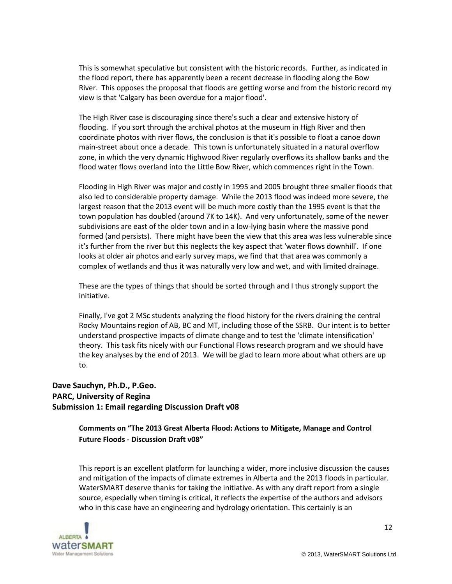This is somewhat speculative but consistent with the historic records. Further, as indicated in the flood report, there has apparently been a recent decrease in flooding along the Bow River. This opposes the proposal that floods are getting worse and from the historic record my view is that 'Calgary has been overdue for a major flood'.

The High River case is discouraging since there's such a clear and extensive history of flooding. If you sort through the archival photos at the museum in High River and then coordinate photos with river flows, the conclusion is that it's possible to float a canoe down main-street about once a decade. This town is unfortunately situated in a natural overflow zone, in which the very dynamic Highwood River regularly overflows its shallow banks and the flood water flows overland into the Little Bow River, which commences right in the Town.

Flooding in High River was major and costly in 1995 and 2005 brought three smaller floods that also led to considerable property damage. While the 2013 flood was indeed more severe, the largest reason that the 2013 event will be much more costly than the 1995 event is that the town population has doubled (around 7K to 14K). And very unfortunately, some of the newer subdivisions are east of the older town and in a low-lying basin where the massive pond formed (and persists). There might have been the view that this area was less vulnerable since it's further from the river but this neglects the key aspect that 'water flows downhill'. If one looks at older air photos and early survey maps, we find that that area was commonly a complex of wetlands and thus it was naturally very low and wet, and with limited drainage.

These are the types of things that should be sorted through and I thus strongly support the initiative.

Finally, I've got 2 MSc students analyzing the flood history for the rivers draining the central Rocky Mountains region of AB, BC and MT, including those of the SSRB. Our intent is to better understand prospective impacts of climate change and to test the 'climate intensification' theory. This task fits nicely with our Functional Flows research program and we should have the key analyses by the end of 2013. We will be glad to learn more about what others are up to.

# **Dave Sauchyn, Ph.D., P.Geo. PARC, University of Regina Submission 1: Email regarding Discussion Draft v08**

**Comments on "The 2013 Great Alberta Flood: Actions to Mitigate, Manage and Control Future Floods - Discussion Draft v08"**

This report is an excellent platform for launching a wider, more inclusive discussion the causes and mitigation of the impacts of climate extremes in Alberta and the 2013 floods in particular. WaterSMART deserve thanks for taking the initiative. As with any draft report from a single source, especially when timing is critical, it reflects the expertise of the authors and advisors who in this case have an engineering and hydrology orientation. This certainly is an



12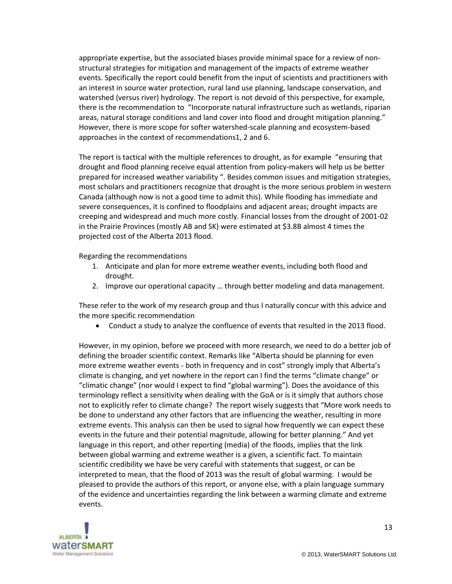appropriate expertise, but the associated biases provide minimal space for a review of nonstructural strategies for mitigation and management of the impacts of extreme weather events. Specifically the report could benefit from the input of scientists and practitioners with an interest in source water protection, rural land use planning, landscape conservation, and watershed (versus river) hydrology. The report is not devoid of this perspective, for example, there is the recommendation to "Incorporate natural infrastructure such as wetlands, riparian areas, natural storage conditions and land cover into flood and drought mitigation planning." However, there is more scope for softer watershed-scale planning and ecosystem-based approaches in the context of recommendations1, 2 and 6.

The report is tactical with the multiple references to drought, as for example "ensuring that drought and flood planning receive equal attention from policy-makers will help us be better prepared for increased weather variability ". Besides common issues and mitigation strategies, most scholars and practitioners recognize that drought is the more serious problem in western Canada (although now is not a good time to admit this). While flooding has immediate and severe consequences, it is confined to floodplains and adjacent areas; drought impacts are creeping and widespread and much more costly. Financial losses from the drought of 2001-02 in the Prairie Provinces (mostly AB and SK) were estimated at \$3.8B almost 4 times the projected cost of the Alberta 2013 flood.

Regarding the recommendations

- 1. Anticipate and plan for more extreme weather events, including both flood and drought.
- 2. Improve our operational capacity … through better modeling and data management.

These refer to the work of my research group and thus I naturally concur with this advice and the more specific recommendation

Conduct a study to analyze the confluence of events that resulted in the 2013 flood.

However, in my opinion, before we proceed with more research, we need to do a better job of defining the broader scientific context. Remarks like "Alberta should be planning for even more extreme weather events - both in frequency and in cost" strongly imply that Alberta's climate is changing, and yet nowhere in the report can I find the terms "climate change" or "climatic change" (nor would I expect to find "global warming"). Does the avoidance of this terminology reflect a sensitivity when dealing with the GoA or is it simply that authors chose not to explicitly refer to climate change? The report wisely suggests that "More work needs to be done to understand any other factors that are influencing the weather, resulting in more extreme events. This analysis can then be used to signal how frequently we can expect these events in the future and their potential magnitude, allowing for better planning." And yet language in this report, and other reporting (media) of the floods, implies that the link between global warming and extreme weather is a given, a scientific fact. To maintain scientific credibility we have be very careful with statements that suggest, or can be interpreted to mean, that the flood of 2013 was the result of global warming. I would be pleased to provide the authors of this report, or anyone else, with a plain language summary of the evidence and uncertainties regarding the link between a warming climate and extreme events.

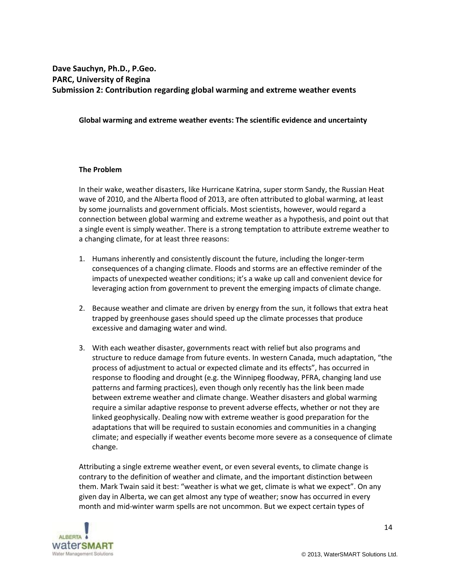# **Dave Sauchyn, Ph.D., P.Geo. PARC, University of Regina Submission 2: Contribution regarding global warming and extreme weather events**

#### **Global warming and extreme weather events: The scientific evidence and uncertainty**

#### **The Problem**

In their wake, weather disasters, like Hurricane Katrina, super storm Sandy, the Russian Heat wave of 2010, and the Alberta flood of 2013, are often attributed to global warming, at least by some journalists and government officials. Most scientists, however, would regard a connection between global warming and extreme weather as a hypothesis, and point out that a single event is simply weather. There is a strong temptation to attribute extreme weather to a changing climate, for at least three reasons:

- 1. Humans inherently and consistently discount the future, including the longer-term consequences of a changing climate. Floods and storms are an effective reminder of the impacts of unexpected weather conditions; it's a wake up call and convenient device for leveraging action from government to prevent the emerging impacts of climate change.
- 2. Because weather and climate are driven by energy from the sun, it follows that extra heat trapped by greenhouse gases should speed up the climate processes that produce excessive and damaging water and wind.
- 3. With each weather disaster, governments react with relief but also programs and structure to reduce damage from future events. In western Canada, much adaptation, "the process of adjustment to actual or expected climate and its effects", has occurred in response to flooding and drought (e.g. the Winnipeg floodway, PFRA, changing land use patterns and farming practices), even though only recently has the link been made between extreme weather and climate change. Weather disasters and global warming require a similar adaptive response to prevent adverse effects, whether or not they are linked geophysically. Dealing now with extreme weather is good preparation for the adaptations that will be required to sustain economies and communities in a changing climate; and especially if weather events become more severe as a consequence of climate change.

Attributing a single extreme weather event, or even several events, to climate change is contrary to the definition of weather and climate, and the important distinction between them. Mark Twain said it best: "weather is what we get, climate is what we expect". On any given day in Alberta, we can get almost any type of weather; snow has occurred in every month and mid-winter warm spells are not uncommon. But we expect certain types of

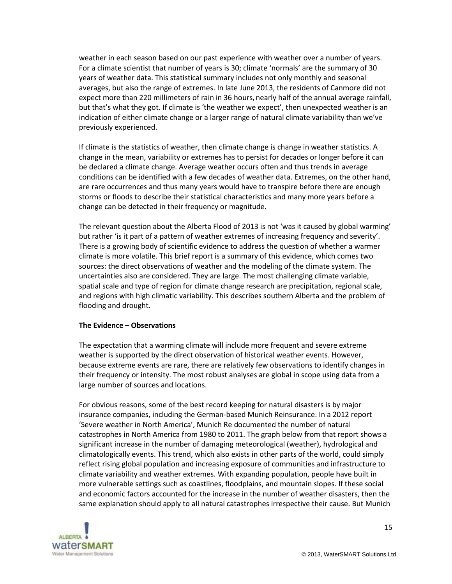weather in each season based on our past experience with weather over a number of years. For a climate scientist that number of years is 30; climate 'normals' are the summary of 30 years of weather data. This statistical summary includes not only monthly and seasonal averages, but also the range of extremes. In late June 2013, the residents of Canmore did not expect more than 220 millimeters of rain in 36 hours, nearly half of the annual average rainfall, but that's what they got. If climate is 'the weather we expect', then unexpected weather is an indication of either climate change or a larger range of natural climate variability than we've previously experienced.

If climate is the statistics of weather, then climate change is change in weather statistics. A change in the mean, variability or extremes has to persist for decades or longer before it can be declared a climate change. Average weather occurs often and thus trends in average conditions can be identified with a few decades of weather data. Extremes, on the other hand, are rare occurrences and thus many years would have to transpire before there are enough storms or floods to describe their statistical characteristics and many more years before a change can be detected in their frequency or magnitude.

The relevant question about the Alberta Flood of 2013 is not 'was it caused by global warming' but rather 'is it part of a pattern of weather extremes of increasing frequency and severity'. There is a growing body of scientific evidence to address the question of whether a warmer climate is more volatile. This brief report is a summary of this evidence, which comes two sources: the direct observations of weather and the modeling of the climate system. The uncertainties also are considered. They are large. The most challenging climate variable, spatial scale and type of region for climate change research are precipitation, regional scale, and regions with high climatic variability. This describes southern Alberta and the problem of flooding and drought.

#### **The Evidence – Observations**

The expectation that a warming climate will include more frequent and severe extreme weather is supported by the direct observation of historical weather events. However, because extreme events are rare, there are relatively few observations to identify changes in their frequency or intensity. The most robust analyses are global in scope using data from a large number of sources and locations.

For obvious reasons, some of the best record keeping for natural disasters is by major insurance companies, including the German-based Munich Reinsurance. In a 2012 report 'Severe weather in North America', Munich Re documented the number of natural catastrophes in North America from 1980 to 2011. The graph below from that report shows a significant increase in the number of damaging meteorological (weather), hydrological and climatologically events. This trend, which also exists in other parts of the world, could simply reflect rising global population and increasing exposure of communities and infrastructure to climate variability and weather extremes. With expanding population, people have built in more vulnerable settings such as coastlines, floodplains, and mountain slopes. If these social and economic factors accounted for the increase in the number of weather disasters, then the same explanation should apply to all natural catastrophes irrespective their cause. But Munich

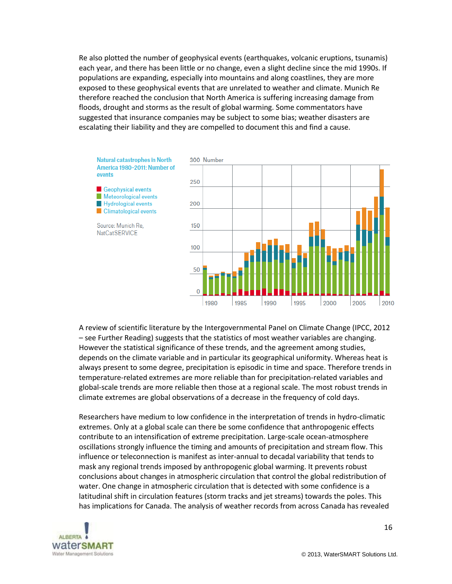Re also plotted the number of geophysical events (earthquakes, volcanic eruptions, tsunamis) each year, and there has been little or no change, even a slight decline since the mid 1990s. If populations are expanding, especially into mountains and along coastlines, they are more exposed to these geophysical events that are unrelated to weather and climate. Munich Re therefore reached the conclusion that North America is suffering increasing damage from floods, drought and storms as the result of global warming. Some commentators have suggested that insurance companies may be subject to some bias; weather disasters are escalating their liability and they are compelled to document this and find a cause.



A review of scientific literature by the Intergovernmental Panel on Climate Change (IPCC, 2012 – see Further Reading) suggests that the statistics of most weather variables are changing. However the statistical significance of these trends, and the agreement among studies, depends on the climate variable and in particular its geographical uniformity. Whereas heat is always present to some degree, precipitation is episodic in time and space. Therefore trends in temperature-related extremes are more reliable than for precipitation-related variables and global-scale trends are more reliable then those at a regional scale. The most robust trends in climate extremes are global observations of a decrease in the frequency of cold days.

Researchers have medium to low confidence in the interpretation of trends in hydro-climatic extremes. Only at a global scale can there be some confidence that anthropogenic effects contribute to an intensification of extreme precipitation. Large-scale ocean-atmosphere oscillations strongly influence the timing and amounts of precipitation and stream flow. This influence or teleconnection is manifest as inter-annual to decadal variability that tends to mask any regional trends imposed by anthropogenic global warming. It prevents robust conclusions about changes in atmospheric circulation that control the global redistribution of water. One change in atmospheric circulation that is detected with some confidence is a latitudinal shift in circulation features (storm tracks and jet streams) towards the poles. This has implications for Canada. The analysis of weather records from across Canada has revealed

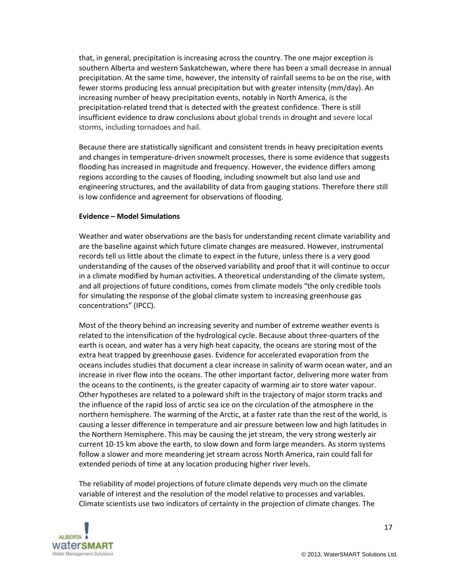that, in general, precipitation is increasing across the country. The one major exception is southern Alberta and western Saskatchewan, where there has been a small decrease in annual precipitation. At the same time, however, the intensity of rainfall seems to be on the rise, with fewer storms producing less annual precipitation but with greater intensity (mm/day). An increasing number of heavy precipitation events, notably in North America, is the precipitation-related trend that is detected with the greatest confidence. There is still insufficient evidence to draw conclusions about global trends in drought and severe local storms, including tornadoes and hail.

Because there are statistically significant and consistent trends in heavy precipitation events and changes in temperature-driven snowmelt processes, there is some evidence that suggests flooding has increased in magnitude and frequency. However, the evidence differs among regions according to the causes of flooding, including snowmelt but also land use and engineering structures, and the availability of data from gauging stations. Therefore there still is low confidence and agreement for observations of flooding.

#### **Evidence – Model Simulations**

Weather and water observations are the basis for understanding recent climate variability and are the baseline against which future climate changes are measured. However, instrumental records tell us little about the climate to expect in the future, unless there is a very good understanding of the causes of the observed variability and proof that it will continue to occur in a climate modified by human activities. A theoretical understanding of the climate system, and all projections of future conditions, comes from climate models "the only credible tools for simulating the response of the global climate system to increasing greenhouse gas concentrations" (IPCC).

Most of the theory behind an increasing severity and number of extreme weather events is related to the intensification of the hydrological cycle. Because about three-quarters of the earth is ocean, and water has a very high heat capacity, the oceans are storing most of the extra heat trapped by greenhouse gases. Evidence for accelerated evaporation from the oceans includes studies that document a clear increase in salinity of warm ocean water, and an increase in river flow into the oceans. The other important factor, delivering more water from the oceans to the continents, is the greater capacity of warming air to store water vapour. Other hypotheses are related to a poleward shift in the trajectory of major storm tracks and the influence of the rapid loss of arctic sea ice on the circulation of the atmosphere in the northern hemisphere. The warming of the Arctic, at a faster rate than the rest of the world, is causing a lesser difference in temperature and air pressure between low and high latitudes in the Northern Hemisphere. This may be causing the jet stream, the very strong westerly air current 10-15 km above the earth, to slow down and form large meanders. As storm systems follow a slower and more meandering jet stream across North America, rain could fall for extended periods of time at any location producing higher river levels.

The reliability of model projections of future climate depends very much on the climate variable of interest and the resolution of the model relative to processes and variables. Climate scientists use two indicators of certainty in the projection of climate changes. The

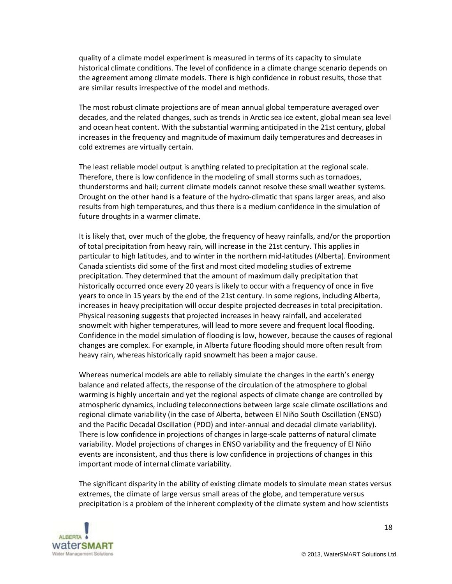quality of a climate model experiment is measured in terms of its capacity to simulate historical climate conditions. The level of confidence in a climate change scenario depends on the agreement among climate models. There is high confidence in robust results, those that are similar results irrespective of the model and methods.

The most robust climate projections are of mean annual global temperature averaged over decades, and the related changes, such as trends in Arctic sea ice extent, global mean sea level and ocean heat content. With the substantial warming anticipated in the 21st century, global increases in the frequency and magnitude of maximum daily temperatures and decreases in cold extremes are virtually certain.

The least reliable model output is anything related to precipitation at the regional scale. Therefore, there is low confidence in the modeling of small storms such as tornadoes, thunderstorms and hail; current climate models cannot resolve these small weather systems. Drought on the other hand is a feature of the hydro-climatic that spans larger areas, and also results from high temperatures, and thus there is a medium confidence in the simulation of future droughts in a warmer climate.

It is likely that, over much of the globe, the frequency of heavy rainfalls, and/or the proportion of total precipitation from heavy rain, will increase in the 21st century. This applies in particular to high latitudes, and to winter in the northern mid-latitudes (Alberta). Environment Canada scientists did some of the first and most cited modeling studies of extreme precipitation. They determined that the amount of maximum daily precipitation that historically occurred once every 20 years is likely to occur with a frequency of once in five years to once in 15 years by the end of the 21st century. In some regions, including Alberta, increases in heavy precipitation will occur despite projected decreases in total precipitation. Physical reasoning suggests that projected increases in heavy rainfall, and accelerated snowmelt with higher temperatures, will lead to more severe and frequent local flooding. Confidence in the model simulation of flooding is low, however, because the causes of regional changes are complex. For example, in Alberta future flooding should more often result from heavy rain, whereas historically rapid snowmelt has been a major cause.

Whereas numerical models are able to reliably simulate the changes in the earth's energy balance and related affects, the response of the circulation of the atmosphere to global warming is highly uncertain and yet the regional aspects of climate change are controlled by atmospheric dynamics, including teleconnections between large scale climate oscillations and regional climate variability (in the case of Alberta, between El Niño South Oscillation (ENSO) and the Pacific Decadal Oscillation (PDO) and inter-annual and decadal climate variability). There is low confidence in projections of changes in large-scale patterns of natural climate variability. Model projections of changes in ENSO variability and the frequency of El Niño events are inconsistent, and thus there is low confidence in projections of changes in this important mode of internal climate variability.

The significant disparity in the ability of existing climate models to simulate mean states versus extremes, the climate of large versus small areas of the globe, and temperature versus precipitation is a problem of the inherent complexity of the climate system and how scientists

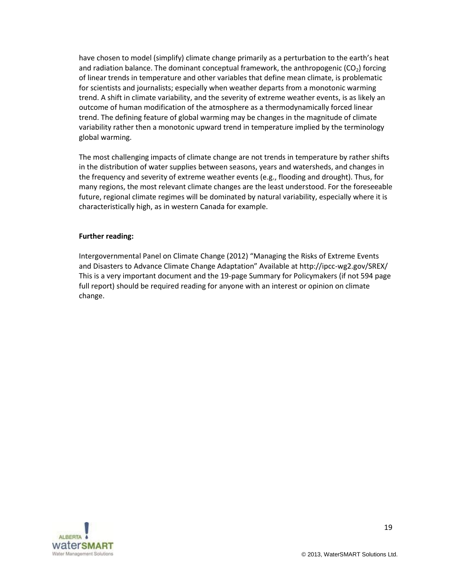have chosen to model (simplify) climate change primarily as a perturbation to the earth's heat and radiation balance. The dominant conceptual framework, the anthropogenic  $(CO<sub>2</sub>)$  forcing of linear trends in temperature and other variables that define mean climate, is problematic for scientists and journalists; especially when weather departs from a monotonic warming trend. A shift in climate variability, and the severity of extreme weather events, is as likely an outcome of human modification of the atmosphere as a thermodynamically forced linear trend. The defining feature of global warming may be changes in the magnitude of climate variability rather then a monotonic upward trend in temperature implied by the terminology global warming.

The most challenging impacts of climate change are not trends in temperature by rather shifts in the distribution of water supplies between seasons, years and watersheds, and changes in the frequency and severity of extreme weather events (e.g., flooding and drought). Thus, for many regions, the most relevant climate changes are the least understood. For the foreseeable future, regional climate regimes will be dominated by natural variability, especially where it is characteristically high, as in western Canada for example.

#### **Further reading:**

Intergovernmental Panel on Climate Change (2012) "Managing the Risks of Extreme Events and Disasters to Advance Climate Change Adaptation" Available at http://ipcc-wg2.gov/SREX/ This is a very important document and the 19-page Summary for Policymakers (if not 594 page full report) should be required reading for anyone with an interest or opinion on climate change.

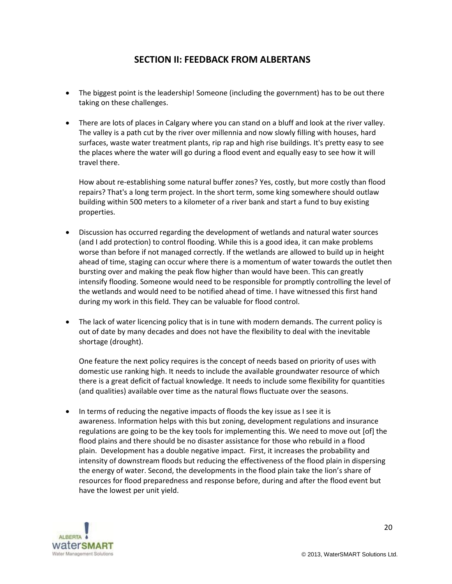# **SECTION II: FEEDBACK FROM ALBERTANS**

- The biggest point is the leadership! Someone (including the government) has to be out there taking on these challenges.
- There are lots of places in Calgary where you can stand on a bluff and look at the river valley. The valley is a path cut by the river over millennia and now slowly filling with houses, hard surfaces, waste water treatment plants, rip rap and high rise buildings. It's pretty easy to see the places where the water will go during a flood event and equally easy to see how it will travel there.

How about re-establishing some natural buffer zones? Yes, costly, but more costly than flood repairs? That's a long term project. In the short term, some king somewhere should outlaw building within 500 meters to a kilometer of a river bank and start a fund to buy existing properties.

- Discussion has occurred regarding the development of wetlands and natural water sources (and I add protection) to control flooding. While this is a good idea, it can make problems worse than before if not managed correctly. If the wetlands are allowed to build up in height ahead of time, staging can occur where there is a momentum of water towards the outlet then bursting over and making the peak flow higher than would have been. This can greatly intensify flooding. Someone would need to be responsible for promptly controlling the level of the wetlands and would need to be notified ahead of time. I have witnessed this first hand during my work in this field. They can be valuable for flood control.
- The lack of water licencing policy that is in tune with modern demands. The current policy is out of date by many decades and does not have the flexibility to deal with the inevitable shortage (drought).

One feature the next policy requires is the concept of needs based on priority of uses with domestic use ranking high. It needs to include the available groundwater resource of which there is a great deficit of factual knowledge. It needs to include some flexibility for quantities (and qualities) available over time as the natural flows fluctuate over the seasons.

 In terms of reducing the negative impacts of floods the key issue as I see it is awareness. Information helps with this but zoning, development regulations and insurance regulations are going to be the key tools for implementing this. We need to move out [of] the flood plains and there should be no disaster assistance for those who rebuild in a flood plain. Development has a double negative impact. First, it increases the probability and intensity of downstream floods but reducing the effectiveness of the flood plain in dispersing the energy of water. Second, the developments in the flood plain take the lion's share of resources for flood preparedness and response before, during and after the flood event but have the lowest per unit yield.

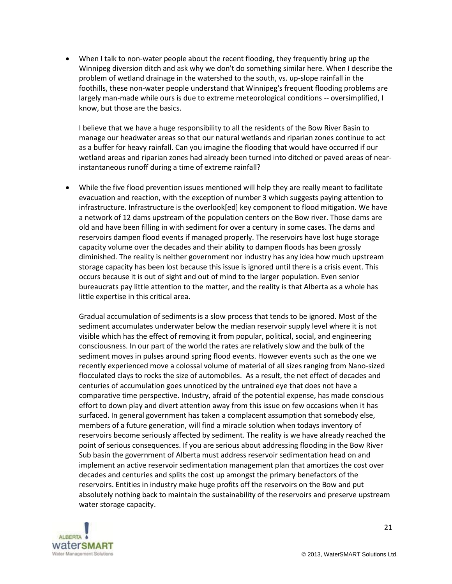When I talk to non-water people about the recent flooding, they frequently bring up the Winnipeg diversion ditch and ask why we don't do something similar here. When I describe the problem of wetland drainage in the watershed to the south, vs. up-slope rainfall in the foothills, these non-water people understand that Winnipeg's frequent flooding problems are largely man-made while ours is due to extreme meteorological conditions -- oversimplified, I know, but those are the basics.

I believe that we have a huge responsibility to all the residents of the Bow River Basin to manage our headwater areas so that our natural wetlands and riparian zones continue to act as a buffer for heavy rainfall. Can you imagine the flooding that would have occurred if our wetland areas and riparian zones had already been turned into ditched or paved areas of nearinstantaneous runoff during a time of extreme rainfall?

 While the five flood prevention issues mentioned will help they are really meant to facilitate evacuation and reaction, with the exception of number 3 which suggests paying attention to infrastructure. Infrastructure is the overlook[ed] key component to flood mitigation. We have a network of 12 dams upstream of the population centers on the Bow river. Those dams are old and have been filling in with sediment for over a century in some cases. The dams and reservoirs dampen flood events if managed properly. The reservoirs have lost huge storage capacity volume over the decades and their ability to dampen floods has been grossly diminished. The reality is neither government nor industry has any idea how much upstream storage capacity has been lost because this issue is ignored until there is a crisis event. This occurs because it is out of sight and out of mind to the larger population. Even senior bureaucrats pay little attention to the matter, and the reality is that Alberta as a whole has little expertise in this critical area.

Gradual accumulation of sediments is a slow process that tends to be ignored. Most of the sediment accumulates underwater below the median reservoir supply level where it is not visible which has the effect of removing it from popular, political, social, and engineering consciousness. In our part of the world the rates are relatively slow and the bulk of the sediment moves in pulses around spring flood events. However events such as the one we recently experienced move a colossal volume of material of all sizes ranging from Nano-sized flocculated clays to rocks the size of automobiles. As a result, the net effect of decades and centuries of accumulation goes unnoticed by the untrained eye that does not have a comparative time perspective. Industry, afraid of the potential expense, has made conscious effort to down play and divert attention away from this issue on few occasions when it has surfaced. In general government has taken a complacent assumption that somebody else, members of a future generation, will find a miracle solution when todays inventory of reservoirs become seriously affected by sediment. The reality is we have already reached the point of serious consequences. If you are serious about addressing flooding in the Bow River Sub basin the government of Alberta must address reservoir sedimentation head on and implement an active reservoir sedimentation management plan that amortizes the cost over decades and centuries and splits the cost up amongst the primary benefactors of the reservoirs. Entities in industry make huge profits off the reservoirs on the Bow and put absolutely nothing back to maintain the sustainability of the reservoirs and preserve upstream water storage capacity.

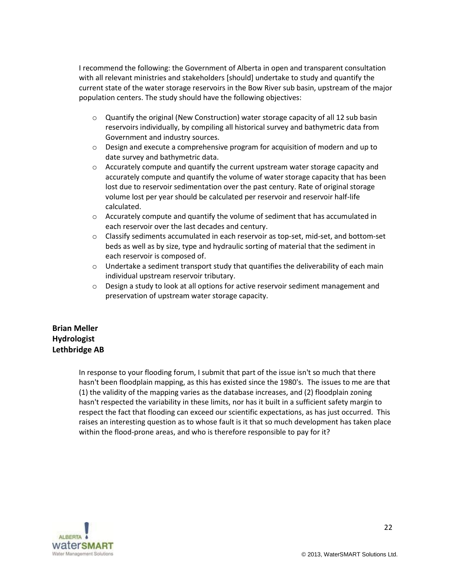I recommend the following: the Government of Alberta in open and transparent consultation with all relevant ministries and stakeholders [should] undertake to study and quantify the current state of the water storage reservoirs in the Bow River sub basin, upstream of the major population centers. The study should have the following objectives:

- $\circ$  Quantify the original (New Construction) water storage capacity of all 12 sub basin reservoirs individually, by compiling all historical survey and bathymetric data from Government and industry sources.
- $\circ$  Design and execute a comprehensive program for acquisition of modern and up to date survey and bathymetric data.
- $\circ$  Accurately compute and quantify the current upstream water storage capacity and accurately compute and quantify the volume of water storage capacity that has been lost due to reservoir sedimentation over the past century. Rate of original storage volume lost per year should be calculated per reservoir and reservoir half-life calculated.
- $\circ$  Accurately compute and quantify the volume of sediment that has accumulated in each reservoir over the last decades and century.
- o Classify sediments accumulated in each reservoir as top-set, mid-set, and bottom-set beds as well as by size, type and hydraulic sorting of material that the sediment in each reservoir is composed of.
- $\circ$  Undertake a sediment transport study that quantifies the deliverability of each main individual upstream reservoir tributary.
- $\circ$  Design a study to look at all options for active reservoir sediment management and preservation of upstream water storage capacity.

# **Brian Meller Hydrologist Lethbridge AB**

In response to your flooding forum, I submit that part of the issue isn't so much that there hasn't been floodplain mapping, as this has existed since the 1980's. The issues to me are that (1) the validity of the mapping varies as the database increases, and (2) floodplain zoning hasn't respected the variability in these limits, nor has it built in a sufficient safety margin to respect the fact that flooding can exceed our scientific expectations, as has just occurred. This raises an interesting question as to whose fault is it that so much development has taken place within the flood-prone areas, and who is therefore responsible to pay for it?

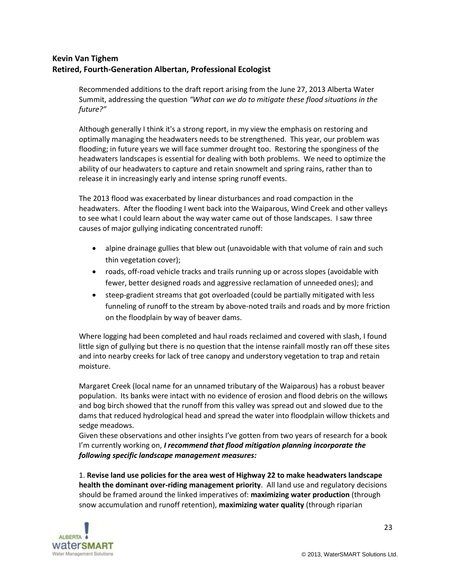# **Kevin Van Tighem Retired, Fourth-Generation Albertan, Professional Ecologist**

Recommended additions to the draft report arising from the June 27, 2013 Alberta Water Summit, addressing the question *"What can we do to mitigate these flood situations in the future?"*

Although generally I think it's a strong report, in my view the emphasis on restoring and optimally managing the headwaters needs to be strengthened. This year, our problem was flooding; in future years we will face summer drought too. Restoring the sponginess of the headwaters landscapes is essential for dealing with both problems. We need to optimize the ability of our headwaters to capture and retain snowmelt and spring rains, rather than to release it in increasingly early and intense spring runoff events.

The 2013 flood was exacerbated by linear disturbances and road compaction in the headwaters. After the flooding I went back into the Waiparous, Wind Creek and other valleys to see what I could learn about the way water came out of those landscapes. I saw three causes of major gullying indicating concentrated runoff:

- alpine drainage gullies that blew out (unavoidable with that volume of rain and such thin vegetation cover);
- roads, off-road vehicle tracks and trails running up or across slopes (avoidable with fewer, better designed roads and aggressive reclamation of unneeded ones); and
- steep-gradient streams that got overloaded (could be partially mitigated with less funneling of runoff to the stream by above-noted trails and roads and by more friction on the floodplain by way of beaver dams.

Where logging had been completed and haul roads reclaimed and covered with slash, I found little sign of gullying but there is no question that the intense rainfall mostly ran off these sites and into nearby creeks for lack of tree canopy and understory vegetation to trap and retain moisture.

Margaret Creek (local name for an unnamed tributary of the Waiparous) has a robust beaver population. Its banks were intact with no evidence of erosion and flood debris on the willows and bog birch showed that the runoff from this valley was spread out and slowed due to the dams that reduced hydrological head and spread the water into floodplain willow thickets and sedge meadows.

Given these observations and other insights I've gotten from two years of research for a book I'm currently working on, *I recommend that flood mitigation planning incorporate the following specific landscape management measures:*

1. **Revise land use policies for the area west of Highway 22 to make headwaters landscape health the dominant over-riding management priority**. All land use and regulatory decisions should be framed around the linked imperatives of: **maximizing water production** (through snow accumulation and runoff retention), **maximizing water quality** (through riparian

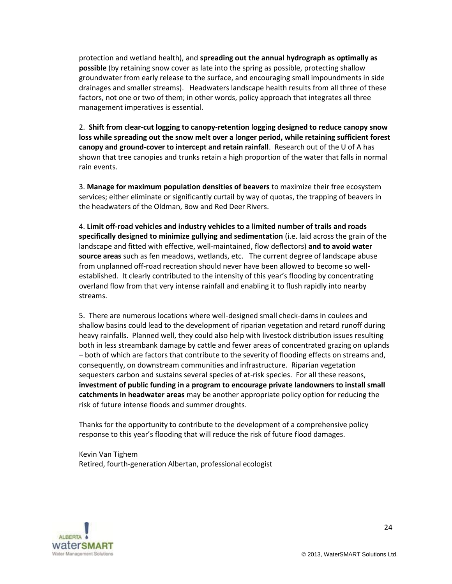protection and wetland health), and **spreading out the annual hydrograph as optimally as possible** (by retaining snow cover as late into the spring as possible, protecting shallow groundwater from early release to the surface, and encouraging small impoundments in side drainages and smaller streams). Headwaters landscape health results from all three of these factors, not one or two of them; in other words, policy approach that integrates all three management imperatives is essential.

2. **Shift from clear-cut logging to canopy-retention logging designed to reduce canopy snow loss while spreading out the snow melt over a longer period, while retaining sufficient forest canopy and ground-cover to intercept and retain rainfall**. Research out of the U of A has shown that tree canopies and trunks retain a high proportion of the water that falls in normal rain events.

3. **Manage for maximum population densities of beavers** to maximize their free ecosystem services; either eliminate or significantly curtail by way of quotas, the trapping of beavers in the headwaters of the Oldman, Bow and Red Deer Rivers.

4. **Limit off-road vehicles and industry vehicles to a limited number of trails and roads specifically designed to minimize gullying and sedimentation** (i.e. laid across the grain of the landscape and fitted with effective, well-maintained, flow deflectors) **and to avoid water source areas** such as fen meadows, wetlands, etc. The current degree of landscape abuse from unplanned off-road recreation should never have been allowed to become so wellestablished. It clearly contributed to the intensity of this year's flooding by concentrating overland flow from that very intense rainfall and enabling it to flush rapidly into nearby streams.

5. There are numerous locations where well-designed small check-dams in coulees and shallow basins could lead to the development of riparian vegetation and retard runoff during heavy rainfalls. Planned well, they could also help with livestock distribution issues resulting both in less streambank damage by cattle and fewer areas of concentrated grazing on uplands – both of which are factors that contribute to the severity of flooding effects on streams and, consequently, on downstream communities and infrastructure. Riparian vegetation sequesters carbon and sustains several species of at-risk species. For all these reasons, **investment of public funding in a program to encourage private landowners to install small catchments in headwater areas** may be another appropriate policy option for reducing the risk of future intense floods and summer droughts.

Thanks for the opportunity to contribute to the development of a comprehensive policy response to this year's flooding that will reduce the risk of future flood damages.

Kevin Van Tighem Retired, fourth-generation Albertan, professional ecologist

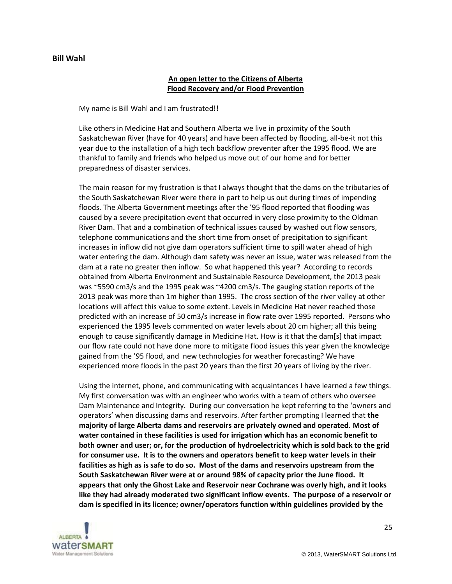#### **Bill Wahl**

## **An open letter to the Citizens of Alberta Flood Recovery and/or Flood Prevention**

My name is Bill Wahl and I am frustrated!!

Like others in Medicine Hat and Southern Alberta we live in proximity of the South Saskatchewan River (have for 40 years) and have been affected by flooding, all-be-it not this year due to the installation of a high tech backflow preventer after the 1995 flood. We are thankful to family and friends who helped us move out of our home and for better preparedness of disaster services.

The main reason for my frustration is that I always thought that the dams on the tributaries of the South Saskatchewan River were there in part to help us out during times of impending floods. The Alberta Government meetings after the '95 flood reported that flooding was caused by a severe precipitation event that occurred in very close proximity to the Oldman River Dam. That and a combination of technical issues caused by washed out flow sensors, telephone communications and the short time from onset of precipitation to significant increases in inflow did not give dam operators sufficient time to spill water ahead of high water entering the dam. Although dam safety was never an issue, water was released from the dam at a rate no greater then inflow. So what happened this year? According to records obtained from Alberta Environment and Sustainable Resource Development, the 2013 peak was ~5590 cm3/s and the 1995 peak was ~4200 cm3/s. The gauging station reports of the 2013 peak was more than 1m higher than 1995. The cross section of the river valley at other locations will affect this value to some extent. Levels in Medicine Hat never reached those predicted with an increase of 50 cm3/s increase in flow rate over 1995 reported. Persons who experienced the 1995 levels commented on water levels about 20 cm higher; all this being enough to cause significantly damage in Medicine Hat. How is it that the dam[s] that impact our flow rate could not have done more to mitigate flood issues this year given the knowledge gained from the '95 flood, and new technologies for weather forecasting? We have experienced more floods in the past 20 years than the first 20 years of living by the river.

Using the internet, phone, and communicating with acquaintances I have learned a few things. My first conversation was with an engineer who works with a team of others who oversee Dam Maintenance and Integrity. During our conversation he kept referring to the 'owners and operators' when discussing dams and reservoirs. After farther prompting I learned that **the majority of large Alberta dams and reservoirs are privately owned and operated. Most of water contained in these facilities is used for irrigation which has an economic benefit to both owner and user; or, for the production of hydroelectricity which is sold back to the grid for consumer use. It is to the owners and operators benefit to keep water levels in their facilities as high as is safe to do so. Most of the dams and reservoirs upstream from the South Saskatchewan River were at or around 98% of capacity prior the June flood. It appears that only the Ghost Lake and Reservoir near Cochrane was overly high, and it looks like they had already moderated two significant inflow events. The purpose of a reservoir or dam is specified in its licence; owner/operators function within guidelines provided by the** 

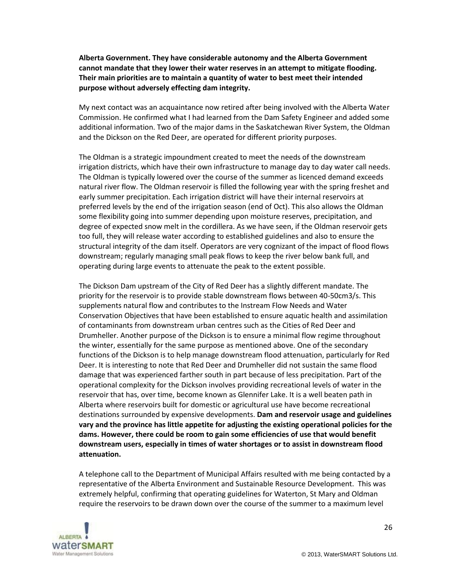**Alberta Government. They have considerable autonomy and the Alberta Government cannot mandate that they lower their water reserves in an attempt to mitigate flooding. Their main priorities are to maintain a quantity of water to best meet their intended purpose without adversely effecting dam integrity.** 

My next contact was an acquaintance now retired after being involved with the Alberta Water Commission. He confirmed what I had learned from the Dam Safety Engineer and added some additional information. Two of the major dams in the Saskatchewan River System, the Oldman and the Dickson on the Red Deer, are operated for different priority purposes.

The Oldman is a strategic impoundment created to meet the needs of the downstream irrigation districts, which have their own infrastructure to manage day to day water call needs. The Oldman is typically lowered over the course of the summer as licenced demand exceeds natural river flow. The Oldman reservoir is filled the following year with the spring freshet and early summer precipitation. Each irrigation district will have their internal reservoirs at preferred levels by the end of the irrigation season (end of Oct). This also allows the Oldman some flexibility going into summer depending upon moisture reserves, precipitation, and degree of expected snow melt in the cordillera. As we have seen, if the Oldman reservoir gets too full, they will release water according to established guidelines and also to ensure the structural integrity of the dam itself. Operators are very cognizant of the impact of flood flows downstream; regularly managing small peak flows to keep the river below bank full, and operating during large events to attenuate the peak to the extent possible.

The Dickson Dam upstream of the City of Red Deer has a slightly different mandate. The priority for the reservoir is to provide stable downstream flows between 40-50cm3/s. This supplements natural flow and contributes to the Instream Flow Needs and Water Conservation Objectives that have been established to ensure aquatic health and assimilation of contaminants from downstream urban centres such as the Cities of Red Deer and Drumheller. Another purpose of the Dickson is to ensure a minimal flow regime throughout the winter, essentially for the same purpose as mentioned above. One of the secondary functions of the Dickson is to help manage downstream flood attenuation, particularly for Red Deer. It is interesting to note that Red Deer and Drumheller did not sustain the same flood damage that was experienced farther south in part because of less precipitation. Part of the operational complexity for the Dickson involves providing recreational levels of water in the reservoir that has, over time, become known as Glennifer Lake. It is a well beaten path in Alberta where reservoirs built for domestic or agricultural use have become recreational destinations surrounded by expensive developments. **Dam and reservoir usage and guidelines vary and the province has little appetite for adjusting the existing operational policies for the dams. However, there could be room to gain some efficiencies of use that would benefit downstream users, especially in times of water shortages or to assist in downstream flood attenuation.**

A telephone call to the Department of Municipal Affairs resulted with me being contacted by a representative of the Alberta Environment and Sustainable Resource Development. This was extremely helpful, confirming that operating guidelines for Waterton, St Mary and Oldman require the reservoirs to be drawn down over the course of the summer to a maximum level

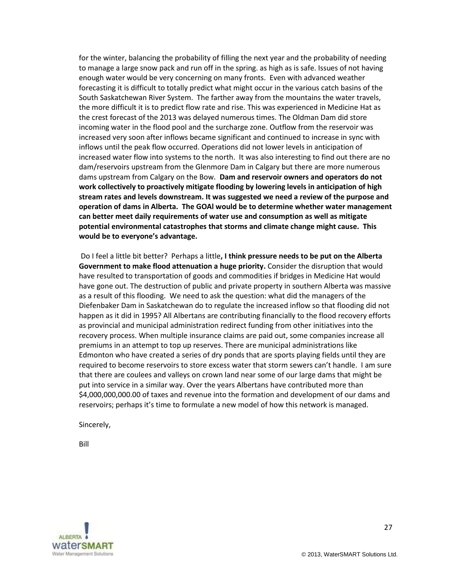for the winter, balancing the probability of filling the next year and the probability of needing to manage a large snow pack and run off in the spring. as high as is safe. Issues of not having enough water would be very concerning on many fronts. Even with advanced weather forecasting it is difficult to totally predict what might occur in the various catch basins of the South Saskatchewan River System. The farther away from the mountains the water travels, the more difficult it is to predict flow rate and rise. This was experienced in Medicine Hat as the crest forecast of the 2013 was delayed numerous times. The Oldman Dam did store incoming water in the flood pool and the surcharge zone. Outflow from the reservoir was increased very soon after inflows became significant and continued to increase in sync with inflows until the peak flow occurred. Operations did not lower levels in anticipation of increased water flow into systems to the north. It was also interesting to find out there are no dam/reservoirs upstream from the Glenmore Dam in Calgary but there are more numerous dams upstream from Calgary on the Bow. **Dam and reservoir owners and operators do not work collectively to proactively mitigate flooding by lowering levels in anticipation of high stream rates and levels downstream. It was suggested we need a review of the purpose and operation of dams in Alberta. The GOAl would be to determine whether water management can better meet daily requirements of water use and consumption as well as mitigate potential environmental catastrophes that storms and climate change might cause. This would be to everyone's advantage.**

Do I feel a little bit better? Perhaps a little**, I think pressure needs to be put on the Alberta Government to make flood attenuation a huge priority.** Consider the disruption that would have resulted to transportation of goods and commodities if bridges in Medicine Hat would have gone out. The destruction of public and private property in southern Alberta was massive as a result of this flooding. We need to ask the question: what did the managers of the Diefenbaker Dam in Saskatchewan do to regulate the increased inflow so that flooding did not happen as it did in 1995? All Albertans are contributing financially to the flood recovery efforts as provincial and municipal administration redirect funding from other initiatives into the recovery process. When multiple insurance claims are paid out, some companies increase all premiums in an attempt to top up reserves. There are municipal administrations like Edmonton who have created a series of dry ponds that are sports playing fields until they are required to become reservoirs to store excess water that storm sewers can't handle. I am sure that there are coulees and valleys on crown land near some of our large dams that might be put into service in a similar way. Over the years Albertans have contributed more than \$4,000,000,000.00 of taxes and revenue into the formation and development of our dams and reservoirs; perhaps it's time to formulate a new model of how this network is managed.

Sincerely,

Bill

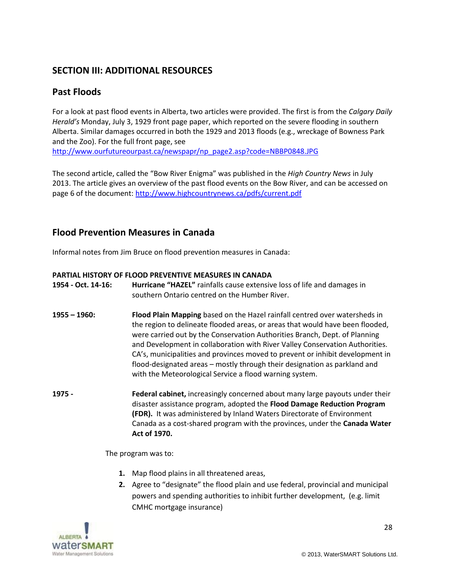# **SECTION III: ADDITIONAL RESOURCES**

# **Past Floods**

For a look at past flood events in Alberta, two articles were provided. The first is from the *Calgary Daily Herald's* Monday, July 3, 1929 front page paper, which reported on the severe flooding in southern Alberta. Similar damages occurred in both the 1929 and 2013 floods (e.g., wreckage of Bowness Park and the Zoo). For the full front page, see [http://www.ourfutureourpast.ca/newspapr/np\\_page2.asp?code=NBBP0848.JPG](http://www.ourfutureourpast.ca/newspapr/np_page2.asp?code=NBBP0848.JPG)

The second article, called the "Bow River Enigma" was published in the *High Country News* in July 2013. The article gives an overview of the past flood events on the Bow River, and can be accessed on page 6 of the document[: http://www.highcountrynews.ca/pdfs/current.pdf](http://www.highcountrynews.ca/pdfs/current.pdf)

# **Flood Prevention Measures in Canada**

Informal notes from Jim Bruce on flood prevention measures in Canada:

### **PARTIAL HISTORY OF FLOOD PREVENTIVE MEASURES IN CANADA**

| 1954 - Oct. 14-16: | Hurricane "HAZEL" rainfalls cause extensive loss of life and damages in<br>southern Ontario centred on the Humber River.                                                                                                                                                                                                                                                                                                                                                                                                                           |
|--------------------|----------------------------------------------------------------------------------------------------------------------------------------------------------------------------------------------------------------------------------------------------------------------------------------------------------------------------------------------------------------------------------------------------------------------------------------------------------------------------------------------------------------------------------------------------|
| $1955 - 1960$ :    | Flood Plain Mapping based on the Hazel rainfall centred over watersheds in<br>the region to delineate flooded areas, or areas that would have been flooded,<br>were carried out by the Conservation Authorities Branch, Dept. of Planning<br>and Development in collaboration with River Valley Conservation Authorities.<br>CA's, municipalities and provinces moved to prevent or inhibit development in<br>flood-designated areas – mostly through their designation as parkland and<br>with the Meteorological Service a flood warning system. |
| 1975 -             | Federal cabinet, increasingly concerned about many large payouts under their<br>disaster assistance program, adopted the Flood Damage Reduction Program<br>(FDR). It was administered by Inland Waters Directorate of Environment<br>Canada as a cost-shared program with the provinces, under the Canada Water<br>Act of 1970.                                                                                                                                                                                                                    |
|                    | The program was to:                                                                                                                                                                                                                                                                                                                                                                                                                                                                                                                                |

- **1.** Map flood plains in all threatened areas,
- **2.** Agree to "designate" the flood plain and use federal, provincial and municipal powers and spending authorities to inhibit further development, (e.g. limit CMHC mortgage insurance)

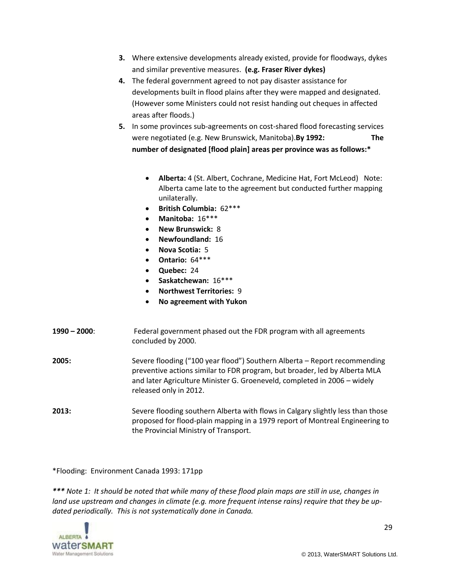- **3.** Where extensive developments already existed, provide for floodways, dykes and similar preventive measures. **(e.g. Fraser River dykes)**
- **4.** The federal government agreed to not pay disaster assistance for developments built in flood plains after they were mapped and designated. (However some Ministers could not resist handing out cheques in affected areas after floods.)
- **5.** In some provinces sub-agreements on cost-shared flood forecasting services were negotiated (e.g. New Brunswick, Manitoba).**By 1992: The number of designated [flood plain] areas per province was as follows:\***
	- **Alberta:** 4 (St. Albert, Cochrane, Medicine Hat, Fort McLeod) Note: Alberta came late to the agreement but conducted further mapping unilaterally.
	- **British Columbia:** 62\*\*\*
	- **Manitoba:** 16\*\*\*
	- **New Brunswick:** 8
	- **Newfoundland:** 16
	- **Nova Scotia:** 5
	- **Ontario:** 64\*\*\*
	- **Quebec:** 24
	- **Saskatchewan:** 16\*\*\*
	- **Northwest Territories:** 9
	- **No agreement with Yukon**
- **1990 – 2000**: Federal government phased out the FDR program with all agreements concluded by 2000.
- **2005:** Severe flooding ("100 year flood") Southern Alberta Report recommending preventive actions similar to FDR program, but broader, led by Alberta MLA and later Agriculture Minister G. Groeneveld, completed in 2006 – widely released only in 2012.
- **2013:** Severe flooding southern Alberta with flows in Calgary slightly less than those proposed for flood-plain mapping in a 1979 report of Montreal Engineering to the Provincial Ministry of Transport.

\*Flooding: Environment Canada 1993: 171pp

*\*\*\* Note 1: It should be noted that while many of these flood plain maps are still in use, changes in land use upstream and changes in climate (e.g. more frequent intense rains) require that they be updated periodically. This is not systematically done in Canada.* 

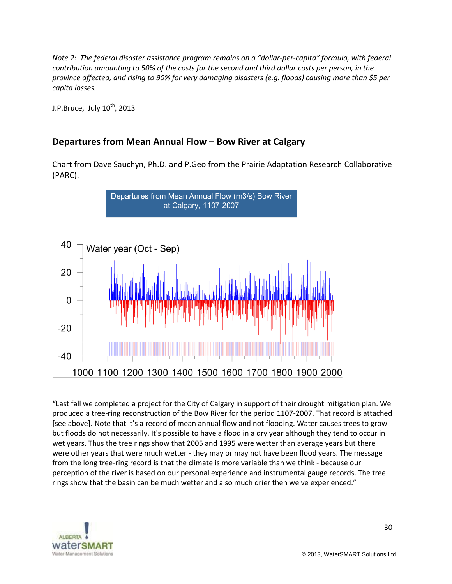*Note 2: The federal disaster assistance program remains on a "dollar-per-capita" formula, with federal contribution amounting to 50% of the costs for the second and third dollar costs per person, in the province affected, and rising to 90% for very damaging disasters (e.g. floods) causing more than \$5 per capita losses.*

J.P.Bruce, July 10<sup>th</sup>, 2013

# **Departures from Mean Annual Flow – Bow River at Calgary**

Chart from Dave Sauchyn, Ph.D. and P.Geo from the Prairie Adaptation Research Collaborative (PARC).



**"**Last fall we completed a project for the City of Calgary in support of their drought mitigation plan. We produced a tree-ring reconstruction of the Bow River for the period 1107-2007. That record is attached [see above]. Note that it's a record of mean annual flow and not flooding. Water causes trees to grow but floods do not necessarily. It's possible to have a flood in a dry year although they tend to occur in wet years. Thus the tree rings show that 2005 and 1995 were wetter than average years but there were other years that were much wetter - they may or may not have been flood years. The message from the long tree-ring record is that the climate is more variable than we think - because our perception of the river is based on our personal experience and instrumental gauge records. The tree rings show that the basin can be much wetter and also much drier then we've experienced."